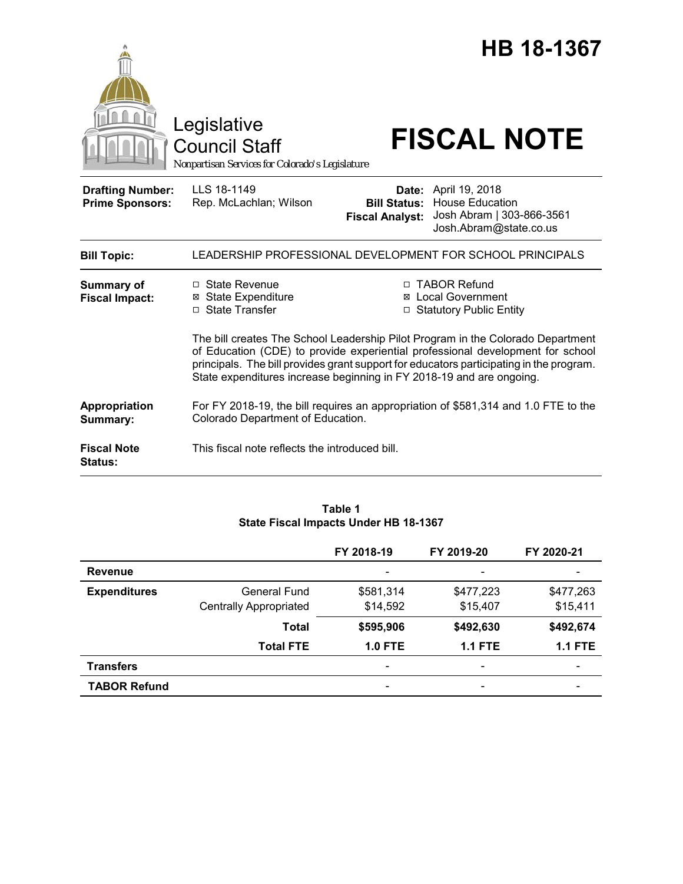

### **Table 1 State Fiscal Impacts Under HB 18-1367**

|                     |                               | FY 2018-19               | FY 2019-20                   | FY 2020-21 |
|---------------------|-------------------------------|--------------------------|------------------------------|------------|
| <b>Revenue</b>      |                               |                          | $\qquad \qquad \blacksquare$ |            |
| <b>Expenditures</b> | <b>General Fund</b>           | \$581,314                | \$477,223                    | \$477,263  |
|                     | <b>Centrally Appropriated</b> | \$14,592                 | \$15,407                     | \$15,411   |
|                     | <b>Total</b>                  | \$595,906                | \$492,630                    | \$492,674  |
|                     | <b>Total FTE</b>              | <b>1.0 FTE</b>           | <b>1.1 FTE</b>               | $1.1$ FTE  |
| <b>Transfers</b>    |                               | $\overline{\phantom{0}}$ | $\overline{\phantom{0}}$     |            |
| <b>TABOR Refund</b> |                               | -                        | $\overline{\phantom{0}}$     |            |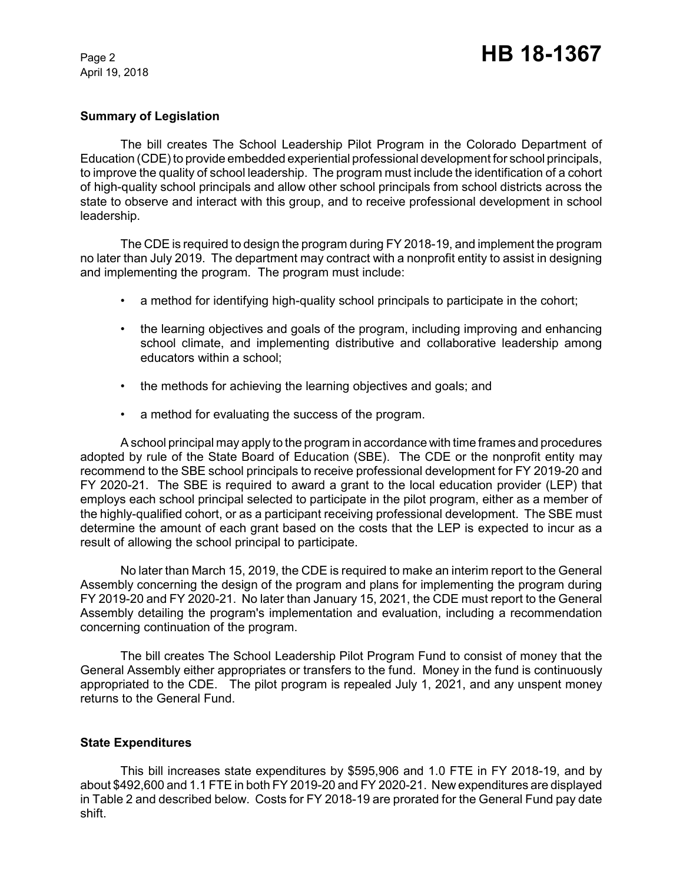April 19, 2018

## **Summary of Legislation**

The bill creates The School Leadership Pilot Program in the Colorado Department of Education (CDE) to provide embedded experiential professional development for school principals, to improve the quality of school leadership. The program must include the identification of a cohort of high-quality school principals and allow other school principals from school districts across the state to observe and interact with this group, and to receive professional development in school leadership.

The CDE is required to design the program during FY 2018-19, and implement the program no later than July 2019. The department may contract with a nonprofit entity to assist in designing and implementing the program. The program must include:

- a method for identifying high-quality school principals to participate in the cohort;
- the learning objectives and goals of the program, including improving and enhancing school climate, and implementing distributive and collaborative leadership among educators within a school;
- the methods for achieving the learning objectives and goals; and
- a method for evaluating the success of the program.

A school principal may apply to the program in accordance with time frames and procedures adopted by rule of the State Board of Education (SBE). The CDE or the nonprofit entity may recommend to the SBE school principals to receive professional development for FY 2019-20 and FY 2020-21. The SBE is required to award a grant to the local education provider (LEP) that employs each school principal selected to participate in the pilot program, either as a member of the highly-qualified cohort, or as a participant receiving professional development. The SBE must determine the amount of each grant based on the costs that the LEP is expected to incur as a result of allowing the school principal to participate.

No later than March 15, 2019, the CDE is required to make an interim report to the General Assembly concerning the design of the program and plans for implementing the program during FY 2019-20 and FY 2020-21. No later than January 15, 2021, the CDE must report to the General Assembly detailing the program's implementation and evaluation, including a recommendation concerning continuation of the program.

The bill creates The School Leadership Pilot Program Fund to consist of money that the General Assembly either appropriates or transfers to the fund. Money in the fund is continuously appropriated to the CDE. The pilot program is repealed July 1, 2021, and any unspent money returns to the General Fund.

## **State Expenditures**

This bill increases state expenditures by \$595,906 and 1.0 FTE in FY 2018-19, and by about \$492,600 and 1.1 FTE in both FY 2019-20 and FY 2020-21. New expenditures are displayed in Table 2 and described below. Costs for FY 2018-19 are prorated for the General Fund pay date shift.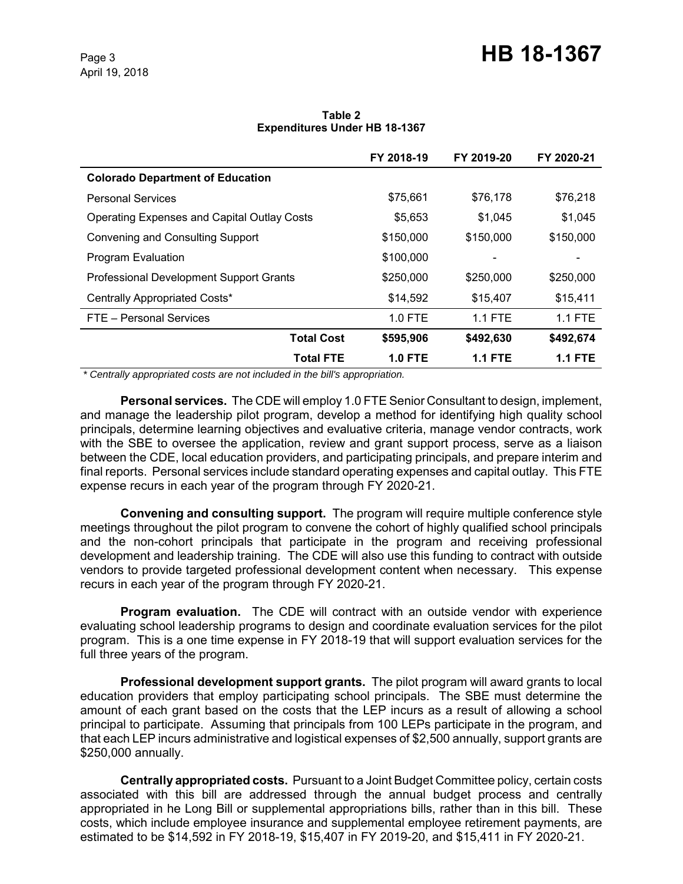# Page 3 **HB 18-1367**

#### **Table 2 Expenditures Under HB 18-1367**

|                                                    | FY 2018-19     | FY 2019-20     | FY 2020-21 |
|----------------------------------------------------|----------------|----------------|------------|
| <b>Colorado Department of Education</b>            |                |                |            |
| <b>Personal Services</b>                           | \$75,661       | \$76,178       | \$76,218   |
| <b>Operating Expenses and Capital Outlay Costs</b> | \$5,653        | \$1,045        | \$1,045    |
| Convening and Consulting Support                   | \$150,000      | \$150,000      | \$150,000  |
| Program Evaluation                                 | \$100,000      |                |            |
| Professional Development Support Grants            | \$250,000      | \$250,000      | \$250,000  |
| Centrally Appropriated Costs*                      | \$14,592       | \$15,407       | \$15,411   |
| FTE - Personal Services                            | $1.0$ FTE      | $1.1$ FTE      | $1.1$ FTE  |
| <b>Total Cost</b>                                  | \$595,906      | \$492,630      | \$492,674  |
| Total FTE                                          | <b>1.0 FTE</b> | <b>1.1 FTE</b> | 1.1 FTE    |

 *\* Centrally appropriated costs are not included in the bill's appropriation.*

**Personal services.** The CDE will employ 1.0 FTE Senior Consultant to design, implement, and manage the leadership pilot program, develop a method for identifying high quality school principals, determine learning objectives and evaluative criteria, manage vendor contracts, work with the SBE to oversee the application, review and grant support process, serve as a liaison between the CDE, local education providers, and participating principals, and prepare interim and final reports. Personal services include standard operating expenses and capital outlay. This FTE expense recurs in each year of the program through FY 2020-21.

**Convening and consulting support.** The program will require multiple conference style meetings throughout the pilot program to convene the cohort of highly qualified school principals and the non-cohort principals that participate in the program and receiving professional development and leadership training. The CDE will also use this funding to contract with outside vendors to provide targeted professional development content when necessary. This expense recurs in each year of the program through FY 2020-21.

**Program evaluation.** The CDE will contract with an outside vendor with experience evaluating school leadership programs to design and coordinate evaluation services for the pilot program. This is a one time expense in FY 2018-19 that will support evaluation services for the full three years of the program.

**Professional development support grants.** The pilot program will award grants to local education providers that employ participating school principals. The SBE must determine the amount of each grant based on the costs that the LEP incurs as a result of allowing a school principal to participate. Assuming that principals from 100 LEPs participate in the program, and that each LEP incurs administrative and logistical expenses of \$2,500 annually, support grants are \$250,000 annually.

**Centrally appropriated costs.** Pursuant to a Joint Budget Committee policy, certain costs associated with this bill are addressed through the annual budget process and centrally appropriated in he Long Bill or supplemental appropriations bills, rather than in this bill. These costs, which include employee insurance and supplemental employee retirement payments, are estimated to be \$14,592 in FY 2018-19, \$15,407 in FY 2019-20, and \$15,411 in FY 2020-21.